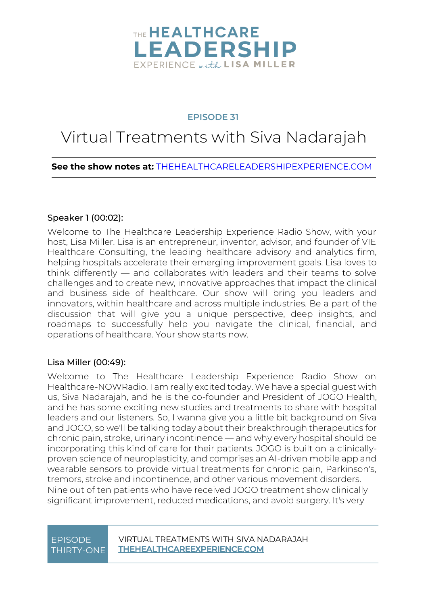

### **EPISODE 31**

# Virtual Treatments with Siva Nadarajah

### **See the show notes at:** [THEHEALTHCARELEADERSHIPEXPERIENCE.COM](https://www.thehealthcareleadershipexperience.com/jogo-health-virtual-treatments-ep31/)

#### Speaker 1 [\(00:02\)](https://www.rev.com/transcript-editor/Edit?token=8h800JSGJvdbbh4_dHeOMp5ZK5vUi-DJn_eyAvHjrh3yhm-IAdWkRf0PzF6mUEvn0P-uJI087tCL5PRxdoKpIWmKvgM&loadFrom=DocumentDeeplink&ts=2.3):

Welcome to The Healthcare Leadership Experience Radio Show, with your host, Lisa Miller. Lisa is an entrepreneur, inventor, advisor, and founder of VIE Healthcare Consulting, the leading healthcare advisory and analytics firm, helping hospitals accelerate their emerging improvement goals. Lisa loves to think differently — and collaborates with leaders and their teams to solve challenges and to create new, innovative approaches that impact the clinical and business side of healthcare. Our show will bring you leaders and innovators, within healthcare and across multiple industries. Be a part of the discussion that will give you a unique perspective, deep insights, and roadmaps to successfully help you navigate the clinical, financial, and operations of healthcare. Your show starts now.

#### Lisa Miller [\(00:49\)](https://www.rev.com/transcript-editor/Edit?token=sr0seVjl-DUw3bQQZLIHPCbmtfrCPVKIRqU8RSGHbG9tihFfYWRDu5b1PAUopp5hAa8PDJXslyzO2ZdcU5zxFsWIwmo&loadFrom=DocumentDeeplink&ts=49.44):

Welcome to The Healthcare Leadership Experience Radio Show on Healthcare-NOWRadio. I am really excited today. We have a special guest with us, Siva Nadarajah, and he is the co-founder and President of JOGO Health, and he has some exciting new studies and treatments to share with hospital leaders and our listeners. So, I wanna give you a little bit background on Siva and JOGO, so we'll be talking today about their breakthrough therapeutics for chronic pain, stroke, urinary incontinence — and why every hospital should be incorporating this kind of care for their patients. JOGO is built on a clinicallyproven science of neuroplasticity, and comprises an AI-driven mobile app and wearable sensors to provide virtual treatments for chronic pain, Parkinson's, tremors, stroke and incontinence, and other various movement disorders. Nine out of ten patients who have received JOGO treatment show clinically significant improvement, reduced medications, and avoid surgery. It's very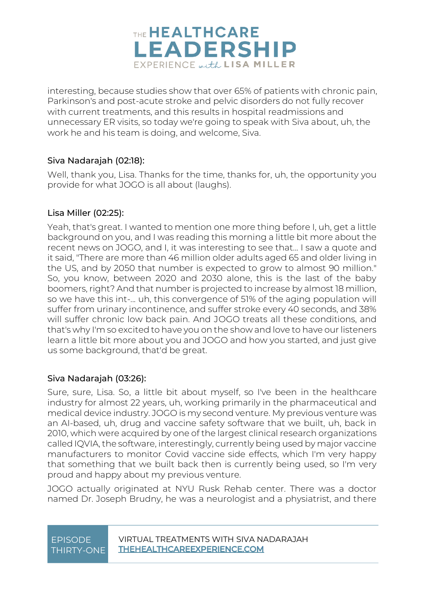

interesting, because studies show that over 65% of patients with chronic pain, Parkinson's and post-acute stroke and pelvic disorders do not fully recover with current treatments, and this results in hospital readmissions and unnecessary ER visits, so today we're going to speak with Siva about, uh, the work he and his team is doing, and welcome, Siva.

### Siva Nadarajah [\(02:18\)](https://www.rev.com/transcript-editor/Edit?token=IX4DtfLIw4ei5npVIyGn9YE4jw8SeUo0zEH_vQKYgCkNS3PzwpBq6PcvUXNYTJqjC9pgjrkn3OhBqX-WjaCcFX4M9k0&loadFrom=DocumentDeeplink&ts=138.27):

Well, thank you, Lisa. Thanks for the time, thanks for, uh, the opportunity you provide for what JOGO is all about (laughs).

### Lisa Miller [\(02:25\)](https://www.rev.com/transcript-editor/Edit?token=g_DpVJwXh1hm7uFI_vYe72b2RzQzc280s0mgVQNUOHyPMXsKses_DbIU5Erh-ti4k9sAnEXPL4UomhNHsroTdWYAnKo&loadFrom=DocumentDeeplink&ts=145.54):

Yeah, that's great. I wanted to mention one more thing before I, uh, get a little background on you, and I was reading this morning a little bit more about the recent news on JOGO, and I, it was interesting to see that... I saw a quote and it said, "There are more than 46 million older adults aged 65 and older living in the US, and by 2050 that number is expected to grow to almost 90 million." So, you know, between 2020 and 2030 alone, this is the last of the baby boomers, right? And that number is projected to increase by almost 18 million, so we have this int-... uh, this convergence of 51% of the aging population will suffer from urinary incontinence, and suffer stroke every 40 seconds, and 38% will suffer chronic low back pain. And JOGO treats all these conditions, and that's why I'm so excited to have you on the show and love to have our listeners learn a little bit more about you and JOGO and how you started, and just give us some background, that'd be great.

### Siva Nadarajah [\(03:26\)](https://www.rev.com/transcript-editor/Edit?token=UNmT0Y0hgjyHK0-RBlMsV4MGVDibEgCe4_e92OLsWOkhoH0IGBNBOEaabyL2usIxDziV9RdhI6aZok01MCMqqWi2LYE&loadFrom=DocumentDeeplink&ts=206.41):

Sure, sure, Lisa. So, a little bit about myself, so I've been in the healthcare industry for almost 22 years, uh, working primarily in the pharmaceutical and medical device industry. JOGO is my second venture. My previous venture was an AI-based, uh, drug and vaccine safety software that we built, uh, back in 2010, which were acquired by one of the largest clinical research organizations called IQVIA, the software, interestingly, currently being used by major vaccine manufacturers to monitor Covid vaccine side effects, which I'm very happy that something that we built back then is currently being used, so I'm very proud and happy about my previous venture.

JOGO actually originated at NYU Rusk Rehab center. There was a doctor named Dr. Joseph Brudny, he was a neurologist and a physiatrist, and there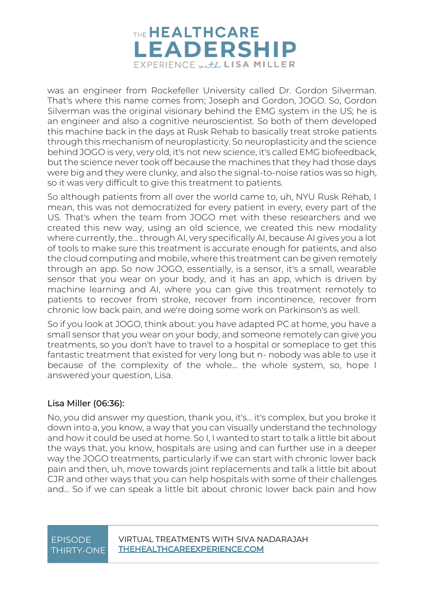

was an engineer from Rockefeller University called Dr. Gordon Silverman. That's where this name comes from; Joseph and Gordon, JOGO. So, Gordon Silverman was the original visionary behind the EMG system in the US; he is an engineer and also a cognitive neuroscientist. So both of them developed this machine back in the days at Rusk Rehab to basically treat stroke patients through this mechanism of neuroplasticity. So neuroplasticity and the science behind JOGO is very, very old, it's not new science, it's called EMG biofeedback, but the science never took off because the machines that they had those days were big and they were clunky, and also the signal-to-noise ratios was so high, so it was very difficult to give this treatment to patients.

So although patients from all over the world came to, uh, NYU Rusk Rehab, I mean, this was not democratized for every patient in every, every part of the US. That's when the team from JOGO met with these researchers and we created this new way, using an old science, we created this new modality where currently, the... through AI, very specifically AI, because AI gives you a lot of tools to make sure this treatment is accurate enough for patients, and also the cloud computing and mobile, where this treatment can be given remotely through an app. So now JOGO, essentially, is a sensor, it's a small, wearable sensor that you wear on your body, and it has an app, which is driven by machine learning and AI, where you can give this treatment remotely to patients to recover from stroke, recover from incontinence, recover from chronic low back pain, and we're doing some work on Parkinson's as well.

So if you look at JOGO, think about: you have adapted PC at home, you have a small sensor that you wear on your body, and someone remotely can give you treatments, so you don't have to travel to a hospital or someplace to get this fantastic treatment that existed for very long but n- nobody was able to use it because of the complexity of the whole... the whole system, so, hope I answered your question, Lisa.

#### Lisa Miller [\(06:36\)](https://www.rev.com/transcript-editor/Edit?token=1Y1JPylUMt8MpEj5WiNpbc84VmmzIOuCGocKKy1S5_Cy1oWxWN8WJe3JcrUrpNq94XMyHO54UCXxN6x3cTSl7DbEwng&loadFrom=DocumentDeeplink&ts=396.55):

No, you did answer my question, thank you, it's... it's complex, but you broke it down into a, you know, a way that you can visually understand the technology and how it could be used at home. So I, I wanted to start to talk a little bit about the ways that, you know, hospitals are using and can further use in a deeper way the JOGO treatments, particularly if we can start with chronic lower back pain and then, uh, move towards joint replacements and talk a little bit about CJR and other ways that you can help hospitals with some of their challenges and... So if we can speak a little bit about chronic lower back pain and how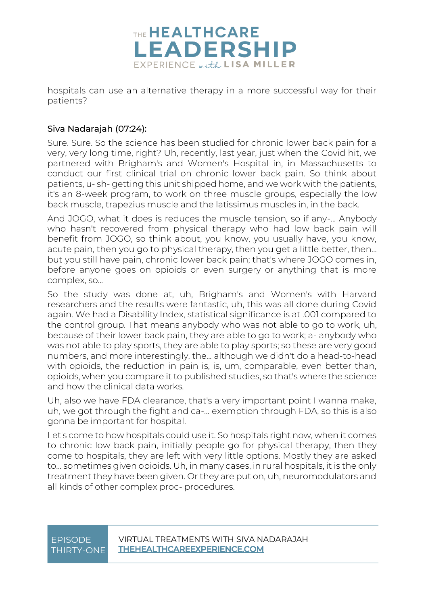

hospitals can use an alternative therapy in a more successful way for their patients?

### Siva Nadarajah [\(07:24\)](https://www.rev.com/transcript-editor/Edit?token=wmY7svrrcJg36Djl0ZfWqXS9_E4cskHEfP-tPCdKkk_U2aHaMyy2JBHVGJUtn2cEPUXGzAr3wMdlSaz9bnka3hWDWTs&loadFrom=DocumentDeeplink&ts=444.8):

Sure. Sure. So the science has been studied for chronic lower back pain for a very, very long time, right? Uh, recently, last year, just when the Covid hit, we partnered with Brigham's and Women's Hospital in, in Massachusetts to conduct our first clinical trial on chronic lower back pain. So think about patients, u- sh- getting this unit shipped home, and we work with the patients, it's an 8-week program, to work on three muscle groups, especially the low back muscle, trapezius muscle and the latissimus muscles in, in the back.

And JOGO, what it does is reduces the muscle tension, so if any-... Anybody who hasn't recovered from physical therapy who had low back pain will benefit from JOGO, so think about, you know, you usually have, you know, acute pain, then you go to physical therapy, then you get a little better, then... but you still have pain, chronic lower back pain; that's where JOGO comes in, before anyone goes on opioids or even surgery or anything that is more complex, so...

So the study was done at, uh, Brigham's and Women's with Harvard researchers and the results were fantastic, uh, this was all done during Covid again. We had a Disability Index, statistical significance is at .001 compared to the control group. That means anybody who was not able to go to work, uh, because of their lower back pain, they are able to go to work; a- anybody who was not able to play sports, they are able to play sports; so these are very good numbers, and more interestingly, the... although we didn't do a head-to-head with opioids, the reduction in pain is, is, um, comparable, even better than, opioids, when you compare it to published studies, so that's where the science and how the clinical data works.

Uh, also we have FDA clearance, that's a very important point I wanna make, uh, we got through the fight and ca-... exemption through FDA, so this is also gonna be important for hospital.

Let's come to how hospitals could use it. So hospitals right now, when it comes to chronic low back pain, initially people go for physical therapy, then they come to hospitals, they are left with very little options. Mostly they are asked to... sometimes given opioids. Uh, in many cases, in rural hospitals, it is the only treatment they have been given. Or they are put on, uh, neuromodulators and all kinds of other complex proc- procedures.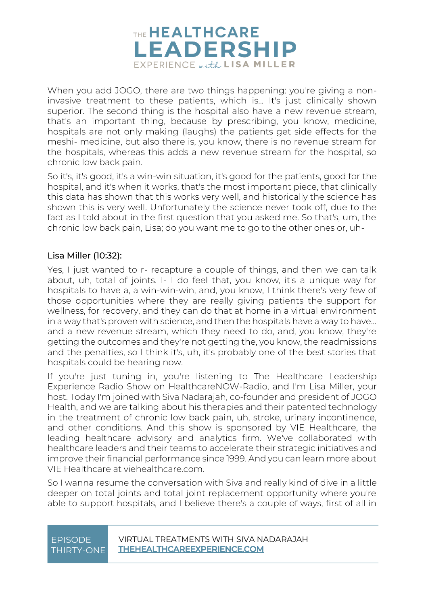

When you add JOGO, there are two things happening: you're giving a noninvasive treatment to these patients, which is... It's just clinically shown superior. The second thing is the hospital also have a new revenue stream, that's an important thing, because by prescribing, you know, medicine, hospitals are not only making (laughs) the patients get side effects for the meshi- medicine, but also there is, you know, there is no revenue stream for the hospitals, whereas this adds a new revenue stream for the hospital, so chronic low back pain.

So it's, it's good, it's a win-win situation, it's good for the patients, good for the hospital, and it's when it works, that's the most important piece, that clinically this data has shown that this works very well, and historically the science has shown this is very well. Unfortunately the science never took off, due to the fact as I told about in the first question that you asked me. So that's, um, the chronic low back pain, Lisa; do you want me to go to the other ones or, uh-

#### Lisa Miller [\(10:32\)](https://www.rev.com/transcript-editor/Edit?token=Ad0XjWBANa2N_KuUeinDTz0q1d-JEhVy4JneMbFXWY-D3Ejv9FlhLWs4o0MxH-jpqrPMa9ZN873l2g1QoOPOrY3PAoI&loadFrom=DocumentDeeplink&ts=632.76):

Yes, I just wanted to r- recapture a couple of things, and then we can talk about, uh, total of joints. I- I do feel that, you know, it's a unique way for hospitals to have a, a win-win-win, and, you know, I think there's very few of those opportunities where they are really giving patients the support for wellness, for recovery, and they can do that at home in a virtual environment in a way that's proven with science, and then the hospitals have a way to have... and a new revenue stream, which they need to do, and, you know, they're getting the outcomes and they're not getting the, you know, the readmissions and the penalties, so I think it's, uh, it's probably one of the best stories that hospitals could be hearing now.

If you're just tuning in, you're listening to The Healthcare Leadership Experience Radio Show on HealthcareNOW-Radio, and I'm Lisa Miller, your host. Today I'm joined with Siva Nadarajah, co-founder and president of JOGO Health, and we are talking about his therapies and their patented technology in the treatment of chronic low back pain, uh, stroke, urinary incontinence, and other conditions. And this show is sponsored by VIE Healthcare, the leading healthcare advisory and analytics firm. We've collaborated with healthcare leaders and their teams to accelerate their strategic initiatives and improve their financial performance since 1999. And you can learn more about VIE Healthcare at viehealthcare.com.

So I wanna resume the conversation with Siva and really kind of dive in a little deeper on total joints and total joint replacement opportunity where you're able to support hospitals, and I believe there's a couple of ways, first of all in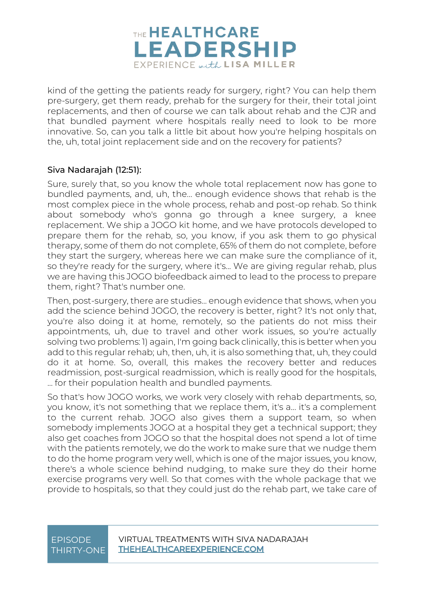

kind of the getting the patients ready for surgery, right? You can help them pre-surgery, get them ready, prehab for the surgery for their, their total joint replacements, and then of course we can talk about rehab and the CJR and that bundled payment where hospitals really need to look to be more innovative. So, can you talk a little bit about how you're helping hospitals on the, uh, total joint replacement side and on the recovery for patients?

#### Siva Nadarajah [\(12:51\)](https://www.rev.com/transcript-editor/Edit?token=_2XSTlIqKk9yGkOxyRDLGhaoTc1mw1kAPiDKFO0zBDYUn-mWcszlrfzc8iLUW31Zfv21dUlOwxB3XH55NKaEbJCKRjc&loadFrom=DocumentDeeplink&ts=771.89):

Sure, surely that, so you know the whole total replacement now has gone to bundled payments, and, uh, the... enough evidence shows that rehab is the most complex piece in the whole process, rehab and post-op rehab. So think about somebody who's gonna go through a knee surgery, a knee replacement. We ship a JOGO kit home, and we have protocols developed to prepare them for the rehab, so, you know, if you ask them to go physical therapy, some of them do not complete, 65% of them do not complete, before they start the surgery, whereas here we can make sure the compliance of it, so they're ready for the surgery, where it's... We are giving regular rehab, plus we are having this JOGO biofeedback aimed to lead to the process to prepare them, right? That's number one.

Then, post-surgery, there are studies... enough evidence that shows, when you add the science behind JOGO, the recovery is better, right? It's not only that, you're also doing it at home, remotely, so the patients do not miss their appointments, uh, due to travel and other work issues, so you're actually solving two problems: 1) again, I'm going back clinically, this is better when you add to this regular rehab; uh, then, uh, it is also something that, uh, they could do it at home. So, overall, this makes the recovery better and reduces readmission, post-surgical readmission, which is really good for the hospitals, … for their population health and bundled payments.

So that's how JOGO works, we work very closely with rehab departments, so, you know, it's not something that we replace them, it's a... it's a complement to the current rehab. JOGO also gives them a support team, so when somebody implements JOGO at a hospital they get a technical support; they also get coaches from JOGO so that the hospital does not spend a lot of time with the patients remotely, we do the work to make sure that we nudge them to do the home program very well, which is one of the major issues, you know, there's a whole science behind nudging, to make sure they do their home exercise programs very well. So that comes with the whole package that we provide to hospitals, so that they could just do the rehab part, we take care of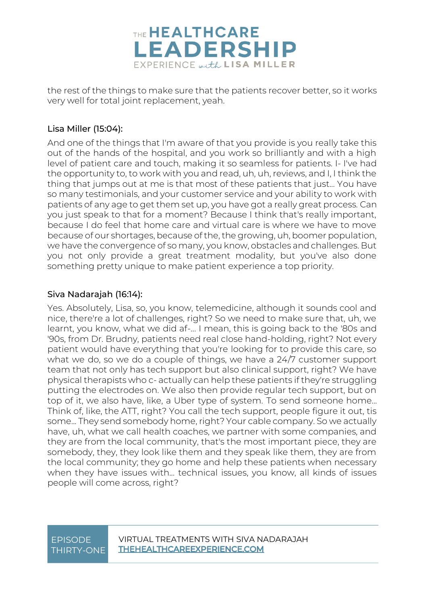

the rest of the things to make sure that the patients recover better, so it works very well for total joint replacement, yeah.

### Lisa Miller [\(15:04\)](https://www.rev.com/transcript-editor/Edit?token=lf3o5dfyh41pJDTMqfjsCzpewY6tB1UYrgvKMM6P203TRpvDLlUK8f517cf8Bg0WAIK2eEqtdmI9N1vipoMuF8K_lrg&loadFrom=DocumentDeeplink&ts=904.52):

And one of the things that I'm aware of that you provide is you really take this out of the hands of the hospital, and you work so brilliantly and with a high level of patient care and touch, making it so seamless for patients. I- I've had the opportunity to, to work with you and read, uh, uh, reviews, and I, I think the thing that jumps out at me is that most of these patients that just... You have so many testimonials, and your customer service and your ability to work with patients of any age to get them set up, you have got a really great process. Can you just speak to that for a moment? Because I think that's really important, because I do feel that home care and virtual care is where we have to move because of our shortages, because of the, the growing, uh, boomer population, we have the convergence of so many, you know, obstacles and challenges. But you not only provide a great treatment modality, but you've also done something pretty unique to make patient experience a top priority.

### Siva Nadarajah [\(16:14\)](https://www.rev.com/transcript-editor/Edit?token=2xy5eWva-T8fGIzXPc51EQn_35voYy_SduCI3Nk-tol4yqtqbSS_qXmUbfNseVGr7DvsoKvp4OMr0BLKmVhmCgycXlY&loadFrom=DocumentDeeplink&ts=974.07):

Yes. Absolutely, Lisa, so, you know, telemedicine, although it sounds cool and nice, there're a lot of challenges, right? So we need to make sure that, uh, we learnt, you know, what we did af-... I mean, this is going back to the '80s and '90s, from Dr. Brudny, patients need real close hand-holding, right? Not every patient would have everything that you're looking for to provide this care, so what we do, so we do a couple of things, we have a 24/7 customer support team that not only has tech support but also clinical support, right? We have physical therapists who c- actually can help these patients if they're struggling putting the electrodes on. We also then provide regular tech support, but on top of it, we also have, like, a Uber type of system. To send someone home... Think of, like, the ATT, right? You call the tech support, people figure it out, tis some... They send somebody home, right? Your cable company. So we actually have, uh, what we call health coaches, we partner with some companies, and they are from the local community, that's the most important piece, they are somebody, they, they look like them and they speak like them, they are from the local community; they go home and help these patients when necessary when they have issues with... technical issues, you know, all kinds of issues people will come across, right?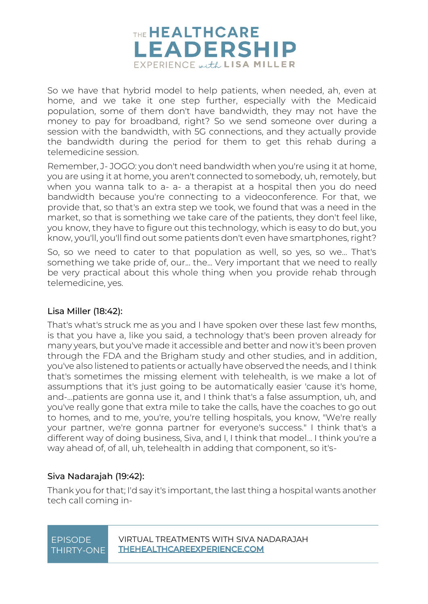

So we have that hybrid model to help patients, when needed, ah, even at home, and we take it one step further, especially with the Medicaid population, some of them don't have bandwidth, they may not have the money to pay for broadband, right? So we send someone over during a session with the bandwidth, with 5G connections, and they actually provide the bandwidth during the period for them to get this rehab during a telemedicine session.

Remember, J- JOGO: you don't need bandwidth when you're using it at home, you are using it at home, you aren't connected to somebody, uh, remotely, but when you wanna talk to a- a- a therapist at a hospital then you do need bandwidth because you're connecting to a videoconference. For that, we provide that, so that's an extra step we took, we found that was a need in the market, so that is something we take care of the patients, they don't feel like, you know, they have to figure out this technology, which is easy to do but, you know, you'll, you'll find out some patients don't even have smartphones, right?

So, so we need to cater to that population as well, so yes, so we... That's something we take pride of, our... the... Very important that we need to really be very practical about this whole thing when you provide rehab through telemedicine, yes.

#### Lisa Miller [\(18:42\)](https://www.rev.com/transcript-editor/Edit?token=QlDPBbr2gaXB-xMbbRpxnqbIWBZoh-DEevItXnTKqboiFmODsrckk3aZv_3ylv-sDAiTCWombjudwajX_4JIWWktJuw&loadFrom=DocumentDeeplink&ts=1122.45):

That's what's struck me as you and I have spoken over these last few months, is that you have a, like you said, a technology that's been proven already for many years, but you've made it accessible and better and now it's been proven through the FDA and the Brigham study and other studies, and in addition, you've also listened to patients or actually have observed the needs, and I think that's sometimes the missing element with telehealth, is we make a lot of assumptions that it's just going to be automatically easier 'cause it's home, and-...patients are gonna use it, and I think that's a false assumption, uh, and you've really gone that extra mile to take the calls, have the coaches to go out to homes, and to me, you're, you're telling hospitals, you know, "We're really your partner, we're gonna partner for everyone's success." I think that's a different way of doing business, Siva, and I, I think that model... I think you're a way ahead of, of all, uh, telehealth in adding that component, so it's-

### Siva Nadarajah [\(19:42\)](https://www.rev.com/transcript-editor/Edit?token=Gxy-b-AgFjnum9xXw-z4PbbJyZa8yJurQWPan2mPNdCpKbkglMFKTPsJsB0M6FCt5kzpkhwpdwXpl65vFNb_-LWcldg&loadFrom=DocumentDeeplink&ts=1182.54):

Thank you for that; I'd say it's important, the last thing a hospital wants another tech call coming in-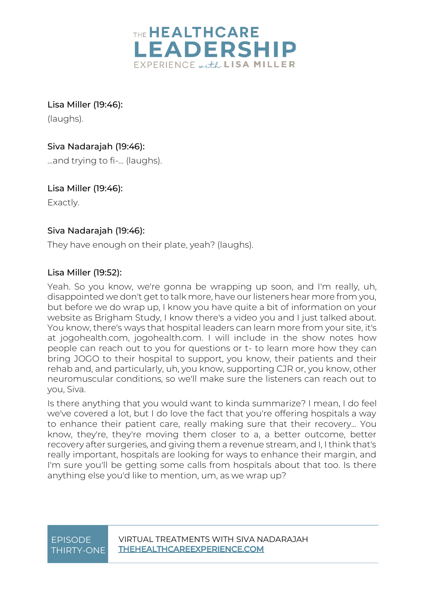

Lisa Miller [\(19:46\)](https://www.rev.com/transcript-editor/Edit?token=WQ58vBmva7l21gNPLl48OpHqpeGNJLFOSmy2dleIt9oDeYsgFdQOQ5fm9cCS_JinAkfjNgz5xLAChs6B3IKAbUsL5ME&loadFrom=DocumentDeeplink&ts=1186.87): (laughs).

Siva Nadarajah [\(19:46\)](https://www.rev.com/transcript-editor/Edit?token=-qq3juLPTz8cji5ccQ30m8AQi-CxJQj6d619yyMStMzuVs1xpS8wtSPG5DX7VbuUAhKtihicy6P-dZK2wo2PEdX0bc4&loadFrom=DocumentDeeplink&ts=1186.93): ...and trying to fi-... (laughs).

Lisa Miller [\(19:46\)](https://www.rev.com/transcript-editor/Edit?token=VauHJ9XKHhqrtQ5-UEL-vdTcL2XzBGdtG0UgbMU6aDa8n5P-0wTJzLa6qdLOffdkjc-Tc8_ZLmwQ83QdiaxvSLfgpHU&loadFrom=DocumentDeeplink&ts=1186.93): Exactly.

### Siva Nadarajah [\(19:46\)](https://www.rev.com/transcript-editor/Edit?token=SAl_Vq1xF-YJtoSFPo2IorMrieasFZznBzv0Ao7fxYDlK5HovsMEgj1uRPUiZiiLnxPQkFNZuw_gl5LytR2-D95wLwc&loadFrom=DocumentDeeplink&ts=1186.93):

They have enough on their plate, yeah? (laughs).

### Lisa Miller [\(19:52\)](https://www.rev.com/transcript-editor/Edit?token=0hRQxzxQ5g3CMbo-347_Aqa3bLI99tkl3umhYL25cKLrX6P9qw4Nrn2ioo742PkjnaGrCxqCtB9hRdoK7WCod50HEdU&loadFrom=DocumentDeeplink&ts=1192):

Yeah. So you know, we're gonna be wrapping up soon, and I'm really, uh, disappointed we don't get to talk more, have our listeners hear more from you, but before we do wrap up, I know you have quite a bit of information on your website as Brigham Study, I know there's a video you and I just talked about. You know, there's ways that hospital leaders can learn more from your site, it's at jogohealth.com, jogohealth.com. I will include in the show notes how people can reach out to you for questions or t- to learn more how they can bring JOGO to their hospital to support, you know, their patients and their rehab and, and particularly, uh, you know, supporting CJR or, you know, other neuromuscular conditions, so we'll make sure the listeners can reach out to you, Siva.

Is there anything that you would want to kinda summarize? I mean, I do feel we've covered a lot, but I do love the fact that you're offering hospitals a way to enhance their patient care, really making sure that their recovery... You know, they're, they're moving them closer to a, a better outcome, better recovery after surgeries, and giving them a revenue stream, and I, I think that's really important, hospitals are looking for ways to enhance their margin, and I'm sure you'll be getting some calls from hospitals about that too. Is there anything else you'd like to mention, um, as we wrap up?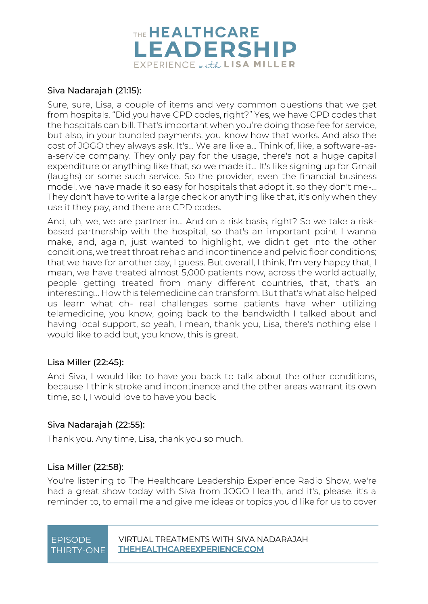

#### Siva Nadarajah [\(21:15\)](https://www.rev.com/transcript-editor/Edit?token=j7KpqC2FDv0lHEkJi3ysoTNlfvNIS4MgTPHJ1XkkCwAnykD00tIcK1vl0DKlLP_2l6ai7wdVT5cF5GVtDV1PdCkMaGk&loadFrom=DocumentDeeplink&ts=1275.18):

Sure, sure, Lisa, a couple of items and very common questions that we get from hospitals. "Did you have CPD codes, right?" Yes, we have CPD codes that the hospitals can bill. That's important when you're doing those fee for service, but also, in your bundled payments, you know how that works. And also the cost of JOGO they always ask. It's... We are like a... Think of, like, a software-asa-service company. They only pay for the usage, there's not a huge capital expenditure or anything like that, so we made it... It's like signing up for Gmail (laughs) or some such service. So the provider, even the financial business model, we have made it so easy for hospitals that adopt it, so they don't me-... They don't have to write a large check or anything like that, it's only when they use it they pay, and there are CPD codes.

And, uh, we, we are partner in... And on a risk basis, right? So we take a riskbased partnership with the hospital, so that's an important point I wanna make, and, again, just wanted to highlight, we didn't get into the other conditions, we treat throat rehab and incontinence and pelvic floor conditions; that we have for another day, I guess. But overall, I think, I'm very happy that, I mean, we have treated almost 5,000 patients now, across the world actually, people getting treated from many different countries, that, that's an interesting... How this telemedicine can transform. But that's what also helped us learn what ch- real challenges some patients have when utilizing telemedicine, you know, going back to the bandwidth I talked about and having local support, so yeah, I mean, thank you, Lisa, there's nothing else I would like to add but, you know, this is great.

#### Lisa Miller [\(22:45\)](https://www.rev.com/transcript-editor/Edit?token=rApvIWyZeUAmfkYfSuKlwdgRk5W0PXxokNrsNrcuoyeePBSYtyfJLlpmYaD8fa3NWYUgMZ2kgH4ZtPTOypDmhRFk-pQ&loadFrom=DocumentDeeplink&ts=1365.15):

And Siva, I would like to have you back to talk about the other conditions, because I think stroke and incontinence and the other areas warrant its own time, so I, I would love to have you back.

#### Siva Nadarajah [\(22:55\)](https://www.rev.com/transcript-editor/Edit?token=s6sO_qRV54mKs362l1u9YZ6uhHDKQh2AzReTNMVDPLxkpDh7HYuttIsaQdwjxCsSTnwhYITLNk7v1uoEFo8QqMZbVAQ&loadFrom=DocumentDeeplink&ts=1375.37):

Thank you. Any time, Lisa, thank you so much.

#### Lisa Miller [\(22:58\)](https://www.rev.com/transcript-editor/Edit?token=kOLooL_Qb8KmknQrMS-Y07WOuIIckb75wQpGV2AzI83j8HUYHCreALUtqy4Bj66PzrWSZlH_WBRsspoG37w0A9QuHqc&loadFrom=DocumentDeeplink&ts=1378.53):

You're listening to The Healthcare Leadership Experience Radio Show, we're had a great show today with Siva from JOGO Health, and it's, please, it's a reminder to, to email me and give me ideas or topics you'd like for us to cover

| <b>FPISODE</b> | VIRTUAL TREATMENTS WITH SIVA NADARAJAH |
|----------------|----------------------------------------|
| THIRTY-ONE     | THEHEALTHCAREEXPERIENCE.COM            |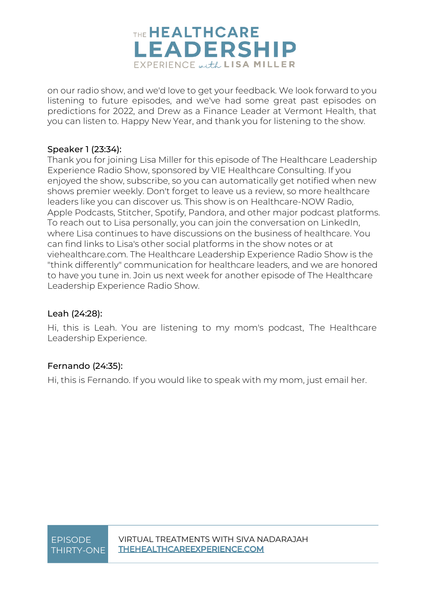

on our radio show, and we'd love to get your feedback. We look forward to you listening to future episodes, and we've had some great past episodes on predictions for 2022, and Drew as a Finance Leader at Vermont Health, that you can listen to. Happy New Year, and thank you for listening to the show.

#### Speaker 1 [\(23:34\)](https://www.rev.com/transcript-editor/Edit?token=7imYgGIKNOPo4plsGknXm_6oE2Jnh73vJZFpSa27qww5BOJBT6jQp2b3bVzekOndMPDdmQLirYcdRoXegeAJR3SjYZ8&loadFrom=DocumentDeeplink&ts=1414.74):

Thank you for joining Lisa Miller for this episode of The Healthcare Leadership Experience Radio Show, sponsored by VIE Healthcare Consulting. If you enjoyed the show, subscribe, so you can automatically get notified when new shows premier weekly. Don't forget to leave us a review, so more healthcare leaders like you can discover us. This show is on Healthcare-NOW Radio, Apple Podcasts, Stitcher, Spotify, Pandora, and other major podcast platforms. To reach out to Lisa personally, you can join the conversation on LinkedIn, where Lisa continues to have discussions on the business of healthcare. You can find links to Lisa's other social platforms in the show notes or at viehealthcare.com. The Healthcare Leadership Experience Radio Show is the "think differently" communication for healthcare leaders, and we are honored to have you tune in. Join us next week for another episode of The Healthcare Leadership Experience Radio Show.

#### Leah [\(24:28\)](https://www.rev.com/transcript-editor/Edit?token=mCEcGoiY6UhnbPWNaO60v4tPQ-MvJqlGPyo2rYfBwnrYr6odKGDHJnvzKMIJuE2gAD90hbGMVL9vQTnmBv-cTNiSUes&loadFrom=DocumentDeeplink&ts=1468.83):

Hi, this is Leah. You are listening to my mom's podcast, The Healthcare Leadership Experience.

### Fernando [\(24:35\)](https://www.rev.com/transcript-editor/Edit?token=rEBGhdf5yU3gGSH6Kxdq-IJ0tgjwF3uD19z-TDC_WG0nwIhAfitrwDQ6qcl0PvtcVJ4GiVF63T-wxJxB4NRVUxJaeSU&loadFrom=DocumentDeeplink&ts=1475.95):

Hi, this is Fernando. If you would like to speak with my mom, just email her.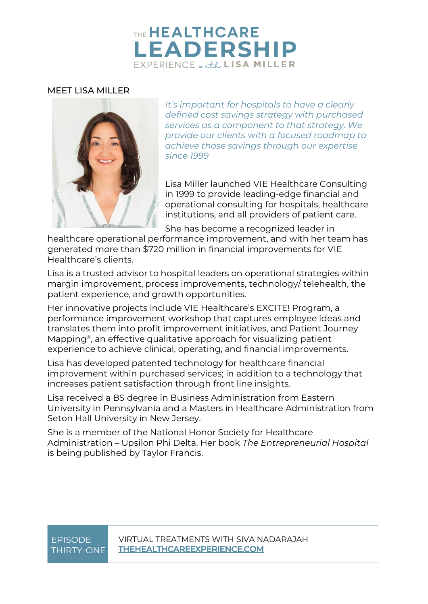## THE **HEALTHCARE LEADERSHIP** EXPERIENCE with LISA MILLER

#### MEET LISA MILLER



*It's important for hospitals to have a clearly defined cost savings strategy with purchased services as a component to that strategy. We provide our clients with a focused roadmap to achieve those savings through our expertise since 1999*

Lisa Miller launched VIE Healthcare Consulting in 1999 to provide leading-edge financial and operational consulting for hospitals, healthcare institutions, and all providers of patient care.

She has become a recognized leader in

healthcare operational performance improvement, and with her team has generated more than \$720 million in financial improvements for VIE Healthcare's clients.

Lisa is a trusted advisor to hospital leaders on operational strategies within margin improvement, process improvements, technology/ telehealth, the patient experience, and growth opportunities.

Her innovative projects include VIE Healthcare's EXCITE! Program, a performance improvement workshop that captures employee ideas and translates them into profit improvement initiatives, and Patient Journey Mapping®, an effective qualitative approach for visualizing patient experience to achieve clinical, operating, and financial improvements.

Lisa has developed patented technology for healthcare financial improvement within purchased services; in addition to a technology that increases patient satisfaction through front line insights.

Lisa received a BS degree in Business Administration from Eastern University in Pennsylvania and a Masters in Healthcare Administration from Seton Hall University in New Jersey.

She is a member of the National Honor Society for Healthcare Administration – Upsilon Phi Delta. Her book *The Entrepreneurial Hospital* is being published by Taylor Francis.